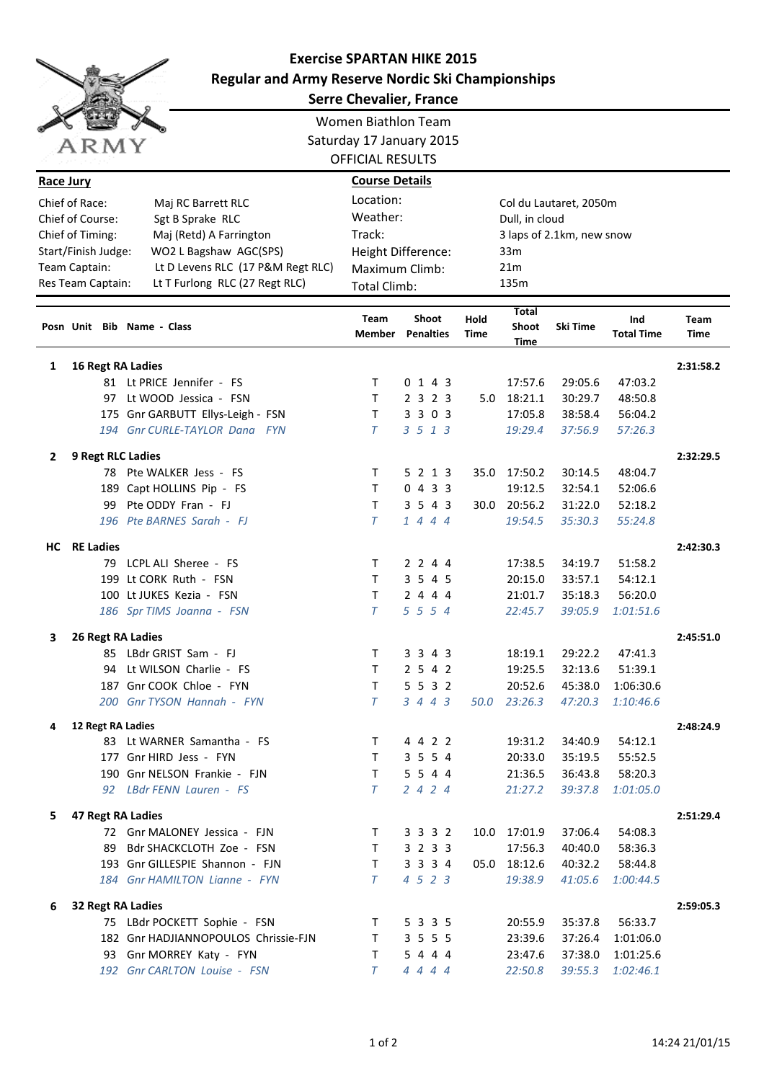

## **Exercise SPARTAN HIKE 2015 Regular and Army Reserve Nordic Ski Championships**

| <b>Serre Chevalier, France</b>                                                                            |                     |    |                                                          |                          |                |              |                  |              |                                          |          |                          |                     |  |
|-----------------------------------------------------------------------------------------------------------|---------------------|----|----------------------------------------------------------|--------------------------|----------------|--------------|------------------|--------------|------------------------------------------|----------|--------------------------|---------------------|--|
|                                                                                                           |                     |    |                                                          | Women Biathlon Team      |                |              |                  |              |                                          |          |                          |                     |  |
|                                                                                                           |                     |    |                                                          | Saturday 17 January 2015 |                |              |                  |              |                                          |          |                          |                     |  |
|                                                                                                           | ARMY                |    | <b>OFFICIAL RESULTS</b>                                  |                          |                |              |                  |              |                                          |          |                          |                     |  |
| Race Jury                                                                                                 |                     |    |                                                          | <b>Course Details</b>    |                |              |                  |              |                                          |          |                          |                     |  |
|                                                                                                           |                     |    |                                                          | Location:                |                |              |                  |              |                                          |          |                          |                     |  |
| Chief of Race:<br>Maj RC Barrett RLC                                                                      |                     |    |                                                          |                          | Weather:       |              |                  |              | Col du Lautaret, 2050m<br>Dull, in cloud |          |                          |                     |  |
| Chief of Course:<br>Sgt B Sprake RLC                                                                      |                     |    |                                                          | Track:                   |                |              |                  |              |                                          |          |                          |                     |  |
| Chief of Timing:<br>Maj (Retd) A Farrington                                                               |                     |    |                                                          | Height Difference:       |                |              |                  |              | 3 laps of 2.1km, new snow                |          |                          |                     |  |
| WO2 L Bagshaw AGC(SPS)<br>Start/Finish Judge:                                                             |                     |    |                                                          |                          | Maximum Climb: |              |                  |              | 33m<br>21m                               |          |                          |                     |  |
| Lt D Levens RLC (17 P&M Regt RLC)<br>Team Captain:<br>Res Team Captain:<br>Lt T Furlong RLC (27 Regt RLC) |                     |    |                                                          | Total Climb:             |                |              |                  |              |                                          |          |                          |                     |  |
|                                                                                                           |                     |    |                                                          |                          |                |              |                  |              | 135m                                     |          |                          |                     |  |
|                                                                                                           |                     |    | Posn Unit Bib Name - Class                               | <b>Team</b><br>Member    |                | <b>Shoot</b> | <b>Penalties</b> | Hold<br>Time | <b>Total</b><br>Shoot<br>Time            | Ski Time | Ind<br><b>Total Time</b> | Team<br><b>Time</b> |  |
| 1                                                                                                         | 16 Regt RA Ladies   |    |                                                          |                          |                |              |                  |              |                                          |          | 2:31:58.2                |                     |  |
|                                                                                                           |                     |    | 81 Lt PRICE Jennifer - FS                                | T.                       |                |              | 0 1 4 3          |              | 17:57.6                                  | 29:05.6  | 47:03.2                  |                     |  |
|                                                                                                           |                     |    | 97 Lt WOOD Jessica - FSN                                 | Τ                        |                |              | 2 3 2 3          | 5.0          | 18:21.1                                  | 30:29.7  | 48:50.8                  |                     |  |
|                                                                                                           |                     |    | 175 Gnr GARBUTT Ellys-Leigh - FSN                        | Τ                        |                |              | 3 3 0 3          |              | 17:05.8                                  | 38:58.4  | 56:04.2                  |                     |  |
|                                                                                                           |                     |    | 194 Gnr CURLE-TAYLOR Dana FYN                            | T                        |                |              | 3 5 1 3          |              | 19:29.4                                  | 37:56.9  | 57:26.3                  |                     |  |
| 2                                                                                                         |                     |    | 9 Regt RLC Ladies                                        |                          |                |              |                  |              |                                          |          |                          | 2:32:29.5           |  |
|                                                                                                           |                     |    | 78 Pte WALKER Jess - FS                                  | Τ                        |                |              | 5 2 1 3          |              | 35.0 17:50.2                             | 30:14.5  | 48:04.7                  |                     |  |
|                                                                                                           |                     |    | 189 Capt HOLLINS Pip - FS                                | Τ                        |                |              | 0433             |              | 19:12.5                                  | 32:54.1  | 52:06.6                  |                     |  |
|                                                                                                           |                     | 99 | Pte ODDY Fran - FJ                                       | Τ                        |                |              | 3 5 4 3          |              | 30.0 20:56.2                             | 31:22.0  | 52:18.2                  |                     |  |
|                                                                                                           |                     |    | 196 Pte BARNES Sarah - FJ                                | T                        |                |              | 1444             |              | 19:54.5                                  | 35:30.3  | 55:24.8                  |                     |  |
|                                                                                                           |                     |    |                                                          |                          |                |              |                  |              |                                          |          |                          |                     |  |
|                                                                                                           | <b>HC</b> RE Ladies |    |                                                          |                          |                |              |                  |              |                                          |          |                          | 2:42:30.3           |  |
|                                                                                                           |                     |    | 79 LCPL ALI Sheree - FS                                  | Τ                        |                |              | 2 2 4 4          |              | 17:38.5                                  | 34:19.7  | 51:58.2                  |                     |  |
|                                                                                                           |                     |    | 199 Lt CORK Ruth - FSN                                   | Τ                        |                |              | 3 5 4 5          |              | 20:15.0                                  | 33:57.1  | 54:12.1                  |                     |  |
|                                                                                                           |                     |    | 100 Lt JUKES Kezia - FSN                                 | T.                       |                |              | 2 4 4 4          |              | 21:01.7                                  | 35:18.3  | 56:20.0                  |                     |  |
|                                                                                                           |                     |    | 186 Spr TIMS Joanna - FSN                                | T                        |                |              | 5 5 5 4          |              | 22:45.7                                  | 39:05.9  | 1:01:51.6                |                     |  |
| 3                                                                                                         |                     |    | 26 Regt RA Ladies                                        |                          |                |              |                  |              |                                          |          |                          | 2:45:51.0           |  |
|                                                                                                           |                     |    | 85 LBdr GRIST Sam - FJ                                   | Τ                        |                |              | 3 3 4 3          |              | 18:19.1                                  | 29:22.2  | 47:41.3                  |                     |  |
|                                                                                                           |                     |    | 94 Lt WILSON Charlie - FS                                | Т                        |                |              | 2542             |              | 19:25.5                                  | 32:13.6  | 51:39.1                  |                     |  |
|                                                                                                           |                     |    | 187 Gnr COOK Chloe - FYN                                 | Τ                        |                |              | 5532             |              | 20:52.6                                  | 45:38.0  | 1:06:30.6                |                     |  |
|                                                                                                           |                     |    | 200 Gnr TYSON Hannah - FYN                               | $\tau$                   |                |              | 3 4 4 3          | <i>50.0</i>  | 23:26.3                                  | 47:20.3  | 1:10:46.6                |                     |  |
| 4                                                                                                         |                     |    | 12 Regt RA Ladies                                        |                          |                |              |                  |              |                                          |          |                          | 2:48:24.9           |  |
|                                                                                                           |                     |    | 83 Lt WARNER Samantha - FS                               | T.                       |                |              | 4 4 2 2          |              | 19:31.2                                  | 34:40.9  | 54:12.1                  |                     |  |
|                                                                                                           |                     |    | 177 Gnr HIRD Jess - FYN                                  | T.                       |                |              | 3 5 5 4          |              | 20:33.0                                  | 35:19.5  | 55:52.5                  |                     |  |
|                                                                                                           |                     |    | 190 Gnr NELSON Frankie - FJN                             | T.                       |                |              | 5 5 4 4          |              | 21:36.5                                  | 36:43.8  | 58:20.3                  |                     |  |
|                                                                                                           |                     |    | 92 LBdr FENN Lauren - FS                                 | T                        |                |              | 2424             |              | 21:27.2                                  | 39:37.8  | 1:01:05.0                |                     |  |
| 5.                                                                                                        |                     |    | 47 Regt RA Ladies                                        |                          |                |              |                  |              |                                          |          |                          | 2:51:29.4           |  |
|                                                                                                           |                     |    | 72 Gnr MALONEY Jessica - FJN                             | T.                       |                |              | 3 3 3 2          |              | 10.0 17:01.9                             | 37:06.4  | 54:08.3                  |                     |  |
|                                                                                                           |                     |    | 89 Bdr SHACKCLOTH Zoe - FSN                              | T.                       |                |              | 3 2 3 3          |              | 17:56.3                                  | 40:40.0  | 58:36.3                  |                     |  |
|                                                                                                           |                     |    | 193 Gnr GILLESPIE Shannon - FJN                          | T.                       |                |              | 3 3 3 4          |              | 05.0 18:12.6                             | 40:32.2  | 58:44.8                  |                     |  |
|                                                                                                           |                     |    | 184 Gnr HAMILTON Lianne - FYN                            | $\tau$                   |                |              | 4 5 2 3          |              | 19:38.9                                  | 41:05.6  | 1:00:44.5                |                     |  |
|                                                                                                           |                     |    |                                                          |                          |                |              |                  |              |                                          |          |                          |                     |  |
| 6                                                                                                         |                     |    | <b>32 Regt RA Ladies</b><br>75 LBdr POCKETT Sophie - FSN | T.                       |                |              | 5 3 3 5          |              | 20:55.9                                  | 35:37.8  | 56:33.7                  | 2:59:05.3           |  |
|                                                                                                           |                     |    | 182 Gnr HADJIANNOPOULOS Chrissie-FJN                     | T.                       |                |              | 3 5 5 5          |              | 23:39.6                                  | 37:26.4  | 1:01:06.0                |                     |  |
|                                                                                                           |                     |    | 93 Gnr MORREY Katy - FYN                                 | Τ                        |                |              | 5 4 4 4          |              | 23:47.6                                  | 37:38.0  | 1:01:25.6                |                     |  |
|                                                                                                           |                     |    | 192 Gnr CARLTON Louise - FSN                             | T                        |                |              | 4444             |              | 22:50.8                                  | 39:55.3  | 1:02:46.1                |                     |  |
|                                                                                                           |                     |    |                                                          |                          |                |              |                  |              |                                          |          |                          |                     |  |